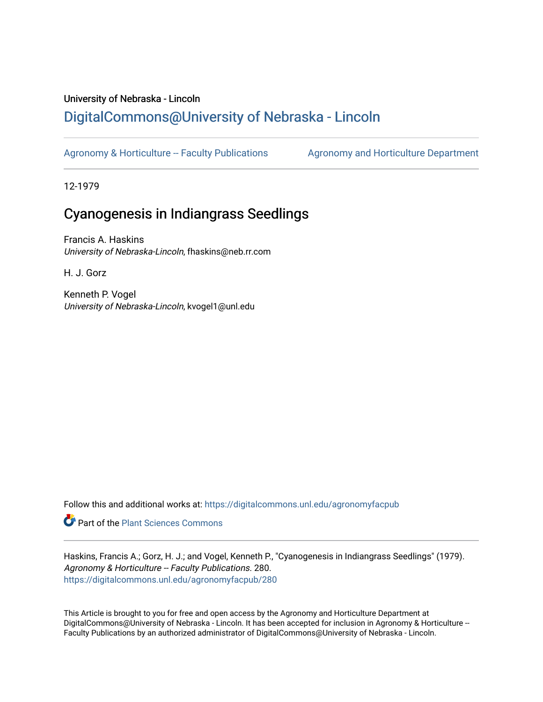# University of Nebraska - Lincoln [DigitalCommons@University of Nebraska - Lincoln](https://digitalcommons.unl.edu/)

[Agronomy & Horticulture -- Faculty Publications](https://digitalcommons.unl.edu/agronomyfacpub) Agronomy and Horticulture Department

12-1979

# Cyanogenesis in Indiangrass Seedlings

Francis A. Haskins University of Nebraska-Lincoln, fhaskins@neb.rr.com

H. J. Gorz

Kenneth P. Vogel University of Nebraska-Lincoln, kvogel1@unl.edu

Follow this and additional works at: [https://digitalcommons.unl.edu/agronomyfacpub](https://digitalcommons.unl.edu/agronomyfacpub?utm_source=digitalcommons.unl.edu%2Fagronomyfacpub%2F280&utm_medium=PDF&utm_campaign=PDFCoverPages)

Part of the [Plant Sciences Commons](http://network.bepress.com/hgg/discipline/102?utm_source=digitalcommons.unl.edu%2Fagronomyfacpub%2F280&utm_medium=PDF&utm_campaign=PDFCoverPages)

Haskins, Francis A.; Gorz, H. J.; and Vogel, Kenneth P., "Cyanogenesis in Indiangrass Seedlings" (1979). Agronomy & Horticulture -- Faculty Publications. 280. [https://digitalcommons.unl.edu/agronomyfacpub/280](https://digitalcommons.unl.edu/agronomyfacpub/280?utm_source=digitalcommons.unl.edu%2Fagronomyfacpub%2F280&utm_medium=PDF&utm_campaign=PDFCoverPages)

This Article is brought to you for free and open access by the Agronomy and Horticulture Department at DigitalCommons@University of Nebraska - Lincoln. It has been accepted for inclusion in Agronomy & Horticulture --Faculty Publications by an authorized administrator of DigitalCommons@University of Nebraska - Lincoln.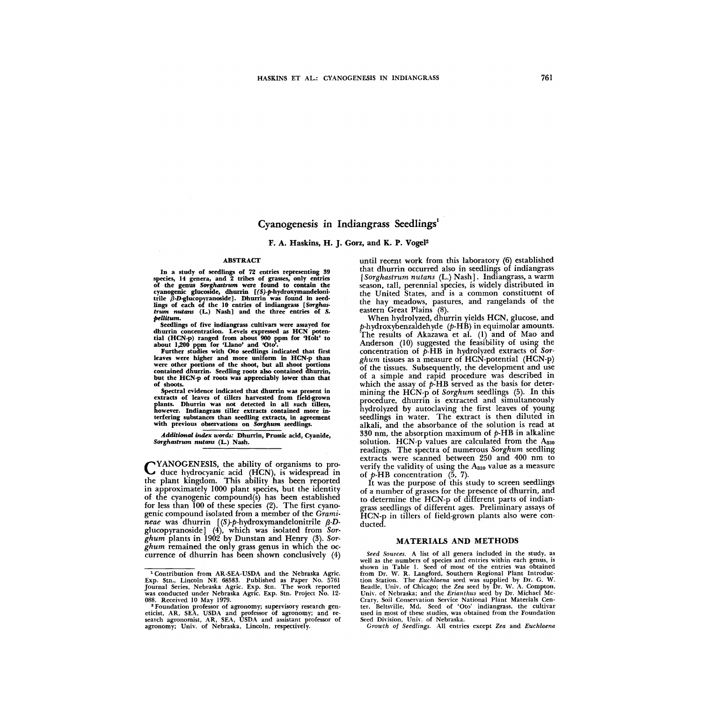# Cyanogenesis in Indiangrass Seedlings<sup>1</sup>

F. A. Haskins, H. J. Gorz, and K. P. Vogel2

#### ABSTRACT

In a study of seedlings of 72 entries representing 39 species, 14 genera, and 2 tribes of grasses, only entries of the genus Sorghastrum were found to contain the cyanogenic głucoside, dhurrin [(S)-p-hydroxymandeloni-<br>trile β-D-glucopyranoside]. Dhurrin was found in seedlings of each of the 10 entries of indiangrass [Sorghas-<br>trum nutans (L.) Nash] and the three entries of S. pellitum\_

Seedlings of five indiangrass cultivars were assayed for dhurrin concentration. Levels expressed as HCN potential (HCN-p) ranged from about 900 ppm for 'Holt' to about 1,200 ppm for 'Llano' and 'Oto'

Further studies with Oto seedlings indicated that first leaves were higher and more uniform in HCN-p than were other portions of the shoot, but all shoot portions contained dhurrin. Seedling roots also contained dhurrin, but the HCN-p of roots was appreciably lower than that of shoots.

Spectral evidence indicated that dhurrin was present in extracts of leaves of tillers harvested from field-grown plants. Dhurrin was not detected in all such tillers, however. Indiangrass tiller extracts contained more interfering substances than seedling extracts, in agreement with previous observations on Sorghum seedlings.

Additional index words: Dhurrin, Prussic acid, Cyanide, Sorghastrum nutans (L.) Nash.

CYANOGENESIS, the ability of organisms to pro-duce hydrocyanic acid (HCN), is widespread in the plant kingdom\_ This ability has been reported in approximately 1000 plant species, but the identity of the cyanogenic compound(s) has been established for less than 100 of these species (2). The first cyanogenic compound isolated from a member of the *Gramineae* was dhurrin *[(S* )-p-hydroxymandelonitrile *f3-D*glucopyranoside] (4), which was isolated from *Sorghum* plants in 1902 by Dunstan and Henry (3)\_ *Sorghum* remained the only grass genus in which the occurrence of dhurrin has been shown conclusively (4)

until recent work from this laboratory (6) established that dhurrin occurred also in seedlings of indiangrass *[Sorghastrum nutans* (L.) Nash]. Indiangrass, a warm season, tall, perennial species, is widely distributed in the United States, and is a common constituent of the hay meadows, pastures, and rangelands of the eastern Great Plains (8).

When hydrolyzed, dhurrin yields HCN, glucose, and  $p$ -hydroxybenzaldehyde ( $p$ -HB) in equimolar amounts. The results of Akazawa et al. (1) and of Mao and Anderson (10) suggested the feasibility of using the concentration of p-HB in hydrolyzed extracts of *Sorghum* tissues as a measure of HCN-potential (HCN-p) of the tissues. Subsequently, the development and use of a simple and rapid procedure was described in which the assay of  $p$ -HB served as the basis for determining the HCN-p of *Sorghum* seedlings (5). In this procedure, dhurrin is extracted and simultaneously hydrolyzed by autoclaving the first leaves of young seedlings in water. The extract is then diluted in alkali, and the absorbance of the solution is read at 330 nm, the absorption maximum of  $p$ -HB in alkaline solution. HCN-p values are calculated from the  $A_{330}$ readings. The spectra of numerous *Sorghum* seedling extracts were scanned between 250 and 400 nm to verify the validity of using the  $A_{330}$  value as a measure

of  $p$ -HB concentration  $(5, 7)$ .<br>It was the purpose of this study to screen seedlings of a number of grasses for the presence of dhurrin, and to determine the HCN-p of different parts of indiangrass seedlings of different ages. Preliminary assays of HCN-p in tillers of field-grown plants also were conducted.

#### MATERIALS AND METHODS

*Seed Sources.* A list of all genera included in the study, as well as the numbers of species and entries within each genus, is shown in Table l. Seed of most of the entries was obtained from Dr. W. R. Langford, Southern Regional Plant Introduction Station. The *Euchlaena* seed was supplied by Dr. G. W. Beadle, Univ. of Chicago; the *Zea* seed by Dr. W. A. Compton, Unh". of Nebraska; and the *Erianthus* seed by Dr. Michael Mc-Crary, Soil Conservation Service National Plant Materials Center. Beltsville, Md. Seed of 'Oto' indiangrass. the cultivar used in most of these studies, was obtained from the Foundation Seed Division, Univ. of Nebraska.

*Growth of Seedlings.* All entries except *Zea* and *Euchlaena* 

<sup>&</sup>lt;sup>1</sup> Contribution from AR-SEA-USDA and the Nebraska Agric. Exp. Stn., Lincoln NE 68583. Published as Paper No. 5761 Journal Series. Nebraska Agric. Exp. Stn. The work reported was conducted under Nebraska Agric. Exp. Stn. Project No. 12- 088. Received 10 May 1979.

<sup>•</sup> Foundation professor of agronomy; supervisory research gen-eticist, AR, SEA, USDA and professor of agronomy; and research agronomist, AR, SEA, USDA and assistant professor of agronomy; Univ. of Nebraska, Lincoln, respectively.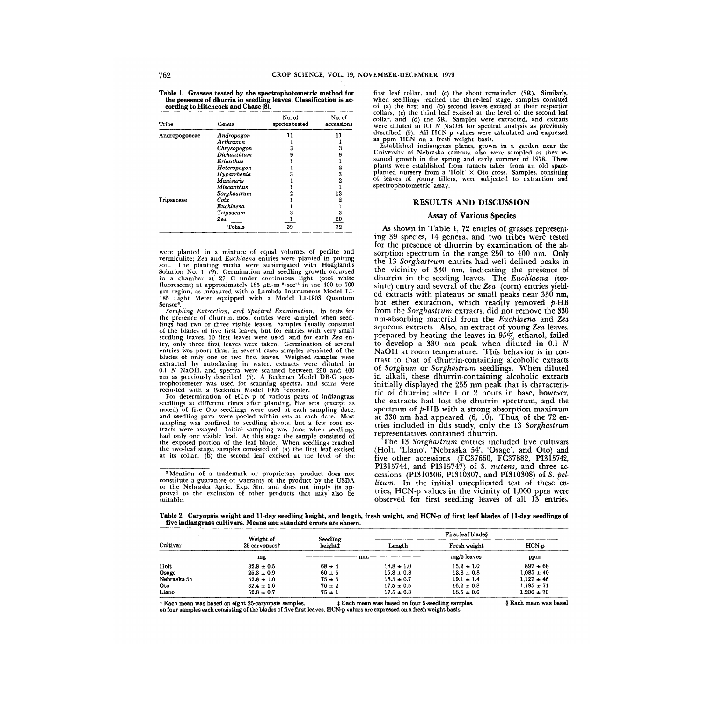Table 1. Grasses tested by the spectrophotometric method for the presence of dhurrin in seedling leaves. Classification is ac- cording to Hitchcock and Chase (8).

| Tribe         | Genus             | No. of<br>species tested | No. of<br>accessions |
|---------------|-------------------|--------------------------|----------------------|
| Andropogoneae | Andropogon        | 11                       | 11                   |
|               | Arthraxon         |                          |                      |
|               | Chrysopogon       | 3                        | 3                    |
|               | Dichanthium       | 9                        | 9                    |
|               | Erianthus         |                          |                      |
|               | Heteropogon       |                          | 2                    |
|               | Hyparrhenia       |                          | 3                    |
|               | <b>Manisuris</b>  |                          | 2                    |
|               | <b>Miscanthus</b> |                          |                      |
|               | Sorghastrum       |                          | 13                   |
| Tripsaceae    | Coix              |                          | 2                    |
|               | Euchlaena         |                          |                      |
|               | Tripsacum         | з                        | 3                    |
|               | Zea               |                          | 20                   |
|               | Totals            | 39                       | 72                   |

were planted in a mixture of equal volumes of perlite and vermiculite; *Zea* and *Euchlaena* entries were planted in potting soil. The planting media were subirrigated with Hoagland's Solution No. 1 (9). Germination and seedling growth occurred in a chamber at 27 C under continuous light (cool white fluorescent) at approximately 165  $\mu$ E·m<sup>-2</sup>·sec<sup>-1</sup> in the 400 to 700 nm region. as measured with a Lambda Instruments Model LI-185 Light Meter equipped with a Model LI-190S Quantum Sensor".

*Sampling Extraction, and Spectral Examination.* In tests for the presence of dhurrin, most entries were sampled when seed-lings had two or three visible leaves. Samples usually consisted of the blades of five first leaves. but for entries with very small seedling leaves, 10 first leaves were used, and for each *Zea* entry. only three first leaves were taken. Germination of several entries was poor; thus, in several cases samples consisted of the blades of only one or two first leaves. Weighed samples were extracted by autoclaving in water, extracts were diluted in *0.1 N* NaOH, and spectra were scanned between 250 and 400 nm as previously described (5). A Beckman Model DB-G spectrophotometer was used for scanning spectra, and scans were recorded with a Beckman Model 1005 recorder. For determination of HCN-p of various parts of indiangrass

seedlings at different times after planting. five sets (except as noted) of five Oto seedlings were used at each sampling date,<br>and seedling parts were pooled within sets at each date. Most<br>sampling was confined to seedling shoots, but a few root extracts were assayed. Initial sampling was done when seedlings had only one visible leaf. At this stage the sample consisted of the exposed portion of the leaf blade. When seedlings reached the two-leaf stage. samples consisted of (a) the first leaf excised at its collar. (b) the second leaf excised at the level of the

3 Mention of a trademark or proprietary product does not constitute a guarantee or warranty of the product by the USDA or the Nebraska Agric. Exp. Stn. and does not imply its ap-<br>proval to the exclusion of other products that may also be suitable.

first leaf collar. and (c) the shoot remainder (SR). Similarly. when seedlings reached the three-leaf stage. samples consisted of (a) the first and (b) second leaves excised at their respective collars. (c) the third leaf excised at the leyel of the second leaf collar. and (d) the SR. Samples were extracted. and extracts were diluted in  $0.1$  N NaOH for spectral analysis as previously described (5). All HCN-p values were calculated and expressed as ppm HCN on a fresh weight basis.

Established indiangrass plants, grown in a garden near the University of Nebraska campus. also were sampled as they resumed growth in the spring and early summer of 1978. These plants were established from ramets taken from an old spaceplanted nursery from a 'Holt'  $\times$  Oto cross. Samples, consisting of leaves of young tillers. were subjected to extraction and spectrophotometric assay.

#### RESULTS AND DISCUSSION

#### Assay of Various Species

As shown in Table 1, 72 entries of grasses representing 39 species, 14 genera, and two tribes were tested for the presence of dhurrin by examination of the absorption spectrum in the range 250 to 400 nm. Only the 13 *Sorghastrum* entries had well defined peaks in the vicinity of 330 nm, indicating the presence of dhurrin in the seeding leaves. The *Euchlaena* (teosinte) entry and several of the *Zea* (corn) entries yielded extracts with plateaus or small peaks near 330 nm, but ether extraction, which readily removed  $p$ -HB from the *Sorghastrum* extracts, did not remove the 330 nm-absorbing material from the *Euchlaena* and Zea aqueous extracts. Also, an extract of young *Zea* leaves, prepared by heating the leaves in  $95\%$  ethanol, failed to develop a 330 nm peak when diluted in O.l *N*  NaOH at room temperature. This behavior is in contrast to that of dhurrin-containing alcoholic extracts of *Sorghum* or *Sorghastrum* seedlings. When diluted in alkali, these dhurrin-containing alcoholic extracts initially displayed the 255 nm peak that is characteristic of dhurrin; after 1 or 2 hours in base, however, the extracts had lost the dhurrin spectrum, and the spectrum of *p-HB* with a strong absorption maximum at  $330$  nm had appeared  $(6, 10)$ . Thus, of the 72 entries included in this study, only the 13 *Sorghastrum*  representatives contained dhurrin.

The 13 *Sorghastrum* entries included five cultivars (Holt, 'Llano', 'Nebraska 54', 'Osage', and Oto) and five other accessions (FC37660, FC37882, PI315742, PI315744, and PI315747) of S. *nutans,* and three accessions (PI310306, PI310307, and PI310308) of S. *pel*litum. In the initial unreplicated test of these entries, HCN-p values in the vicinity of 1,000 ppm were observed for first seedling leaves of all 13 entries.

Table 2. Caryopsis weight and ll-day seedling height, and length, fresh weight, and HCN-p of first leaf blades of ll-day seedlings of five indiangrass cultivars. Means and standard errors are shown.

| Cultivar    | Weight of                 | Seedling            |                | First leaf blade <sup>§</sup> |                |  |  |  |  |  |
|-------------|---------------------------|---------------------|----------------|-------------------------------|----------------|--|--|--|--|--|
|             | 25 caryopses <sup>†</sup> | height <sup>†</sup> | Length         | Fresh weight                  | $HCN-p$        |  |  |  |  |  |
|             | mg                        |                     | mm             | mg/5 leaves                   | ppm            |  |  |  |  |  |
| Holt        | $32.8 \pm 0.5$            | $68 \pm 4$          | $18.8 \pm 1.0$ | $15.2 \pm 1.0$                | $897 \pm 68$   |  |  |  |  |  |
| Osage       | $25.3 \pm 0.9$            | $60 + 5$            | $15.8 \pm 0.8$ | $13.8 \pm 0.8$                | $1.085 \pm 40$ |  |  |  |  |  |
| Nebraska 54 | $52.8 \pm 1.0$            | $75 + 5$            | $18.5 \pm 0.7$ | $19.1 \pm 1.4$                | $1.127 \pm 46$ |  |  |  |  |  |
| Oto         | $32.4 \pm 1.0$            | $70 \pm 2$          | $17.5 \pm 0.5$ | $16.2 \pm 0.8$                | $1.195 \pm 71$ |  |  |  |  |  |
| Llano       | $52.8 \pm 0.7$            | $75 \pm 1$          | $17.5 \pm 0.3$ | $18.5 \pm 0.6$                | $1,236 \pm 73$ |  |  |  |  |  |

t Each mean was based on eight 25-caryopsis samples.  $\qquad \qquad$   $\qquad$  Each mean was based on four 5-seedling samples. on four samples each consisting of the blades of five first leaves. HCN-p values are expressed on a fresh weight basis.

§ Each mean was based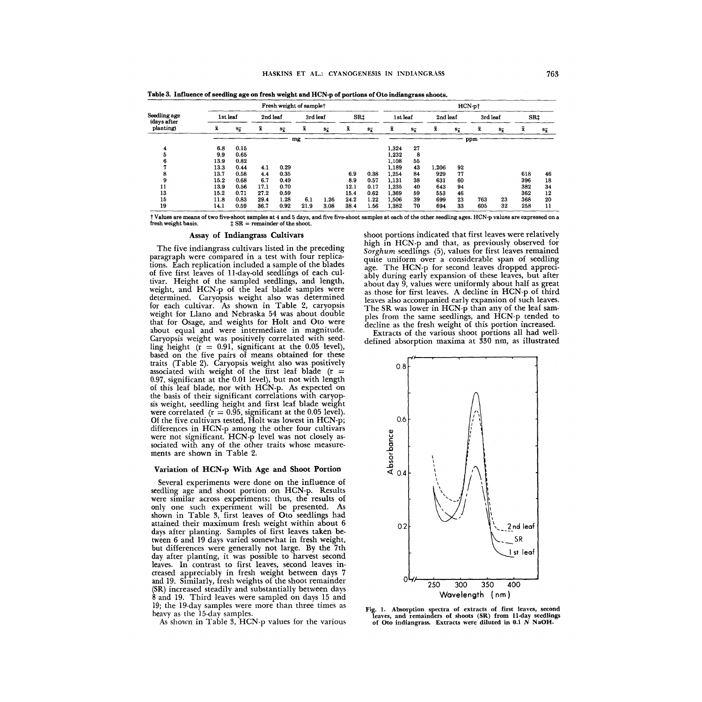|                                          |      | Fresh weight of samplet |                    |               |                    |               |      | $HCN$ -p $\dagger$ |       |               |                    |               |                    |               |     |                    |  |  |  |  |  |
|------------------------------------------|------|-------------------------|--------------------|---------------|--------------------|---------------|------|--------------------|-------|---------------|--------------------|---------------|--------------------|---------------|-----|--------------------|--|--|--|--|--|
| Seedling age<br>(days after<br>planting) |      | 1st leaf                |                    | 2nd leaf      |                    | 3rd leaf      |      | SR‡                |       | 1st leaf      |                    | 2nd leaf      |                    | 3rd leaf      |     | SR <sub>‡</sub>    |  |  |  |  |  |
|                                          | x.   | $s_{\overline{s}}$      | $\bar{\mathbf{x}}$ | $s_{\bar{x}}$ | $\bar{\mathbf{x}}$ | $s_{\bar{x}}$ | x    | $s_{\bar{x}}$      | x     | $s_{\bar{x}}$ | $\bar{\mathbf{x}}$ | $s_{\bar{x}}$ | $\bar{\mathbf{x}}$ | $s_{\bar{x}}$ | x   | $s_{\overline{x}}$ |  |  |  |  |  |
|                                          | mg   |                         |                    |               |                    |               |      |                    |       |               |                    |               | ppm                |               |     |                    |  |  |  |  |  |
|                                          | 6.8  | 0.15                    |                    |               |                    |               |      |                    | 1.324 | 27            |                    |               |                    |               |     |                    |  |  |  |  |  |
|                                          | 9.9  | 0.65                    |                    |               |                    |               |      |                    | 1.232 | 8             |                    |               |                    |               |     |                    |  |  |  |  |  |
|                                          | 13.9 | 0.82                    |                    |               |                    |               |      |                    | 1,108 | 55            |                    |               |                    |               |     |                    |  |  |  |  |  |
|                                          | 13.3 | 0.44                    | 4.1                | 0.29          |                    |               |      |                    | 1.189 | 43            | 1,206              | 92            |                    |               |     |                    |  |  |  |  |  |
|                                          | 13.7 | 0.58                    | 4.4                | 0.35          |                    |               | 6.9  | 0.38               | 1.254 | 84            | 929                | 77            |                    |               | 618 | 46                 |  |  |  |  |  |
|                                          | 15.2 | 0.68                    | 6.7                | 0.49          |                    |               | 8.9  | 0.57               | 1.131 | 38            | 631                | 60            |                    |               | 396 | 18                 |  |  |  |  |  |
|                                          | 13.9 | 0.56                    | 17.1               | 0.70          |                    |               | 12.1 | 0.17               | 1.235 | 40            | 643                | 94            |                    |               | 382 | 34                 |  |  |  |  |  |
| 13                                       | 15.2 | 0.71                    | 27.2               | 0.59          |                    |               | 15.4 | 0.62               | 1.369 | 59            | 553                | 46            |                    |               | 362 | 12                 |  |  |  |  |  |
| 15                                       | 11.8 | 0.83                    | 29.4               | 1.28          | 6.1                | 1.26          | 24.2 | 1.22               | 1.506 | 39            | 699                | 23            | 763                | 23            | 368 | 20                 |  |  |  |  |  |
| 19                                       | 14.1 | 0.59                    | 36.7               | 0.92          | 21.9               | 3.08          | 38.4 | 1.56               | 1.382 | 70            | 694                | 33            | 605                | 32            | 258 | 11                 |  |  |  |  |  |

Table 3. Influence of seedling age on fresh weight and HCN-p of portions of Oto indiangrass shoots.

t Values are means of two five-shoot samples at 4 and 5 days, and five five-shoot samples at each of the other seedling ages. HCN-p values are expressed on a fresh weight basis. :j: SR = remainder of the shoot.

#### Assay of Indiangrass Cultivars

The five indiangrass cultivars listed in the preceding paragraph were compared in a test with four replications. Each replication included a sample of the blades of five first leaves of ll-day-old seedlings of each cuitivar. Height of the sampled seedlings, and length, weight, and HCN-p of the leaf blade samples were determined. Caryopsis weight also was determined for each cultivar. As shown in Table 2, caryopsis weight for Llano and Nebraska 54 was about double that for Osage, and weights for Holt and Oto were about equal and were intermediate in magnitude. Caryopsis weight was positively correlated with seedling height  $(r = 0.91$ , significant at the 0.05 level), based on the five pairs of means obtained for these traits (Table 2). Caryopsis weight also was positively associated with weight of the first leaf blade  $(r =$ 0.97, significant at the 0.01 level), but not with length of this leaf blade, nor with HCN-p. As expected on the basis of their significant correlations with caryopsis weight, seedling height and first leaf blade weight were correlated ( $r = 0.95$ , significant at the 0.05 level). Of the five cultivars tested, Holt was lowest in HCN-p; differences in HCN-p among the other four cultivars were not significant. HCN-p level was not closely associated with any of the other traits whose measurements are shown in Table 2.

### Variation of HCN-p With Age and Shoot Portion

Several experiments were done on the influence of seedling age and shoot portion on HCN-p. Results were similar across experiments; thus, the results of only one such experiment will be presented. As shown in Table 3, first leaves of Oto seedlings had attained their maximum fresh weight within about 6 days after planting. Samples of first leaves taken between 6 and 19 days varied somewhat in fresh weight, but differences were generally not large. By the 7th day after planting, it was possible to harvest second leaves. In contrast to first leaves, second leaves increased appreciably in fresh weight between days 7 and 19. Similarly, fresh weights of the shoot remamder (SR) increased steadily and substantially between days 8 and 19. Third leaves were sampled on days 15 and 19; the 19-day samples were more than three times as heavy as the 15-day samples.

As shown in Table 3, HCN-p values for the various

shoot portions indicated that first leaves were relatively high in HCN-p and that, as previously observed for Sorghum seedlings  $(5)$ , values for first leaves remained quite uniform over a considerable span of seedling age. The HCN-p for second leaves dropped appreciably during early expansion of these leaves, but after about day 9, values were uniformly about half as great as those for first leaves. A decline in HCN-p of third leaves also accompanied early expansion of such leaves. The SR was lower in HCN-p than any of the leaf samples from the same seedlings, and HCN-p tended to decline as the fresh weight of this portion increased.

Extracts of the various shoot portions all had welldefined absorption maxima at 330 nm, as illustrated



Fig. 1. Absorption spectra of extracts of first leaves, second leaves, and remainders of shoots (SR) from 11-day seedlings of Oto indiangrass. Extracts were diluted in 0.1 N NaOH.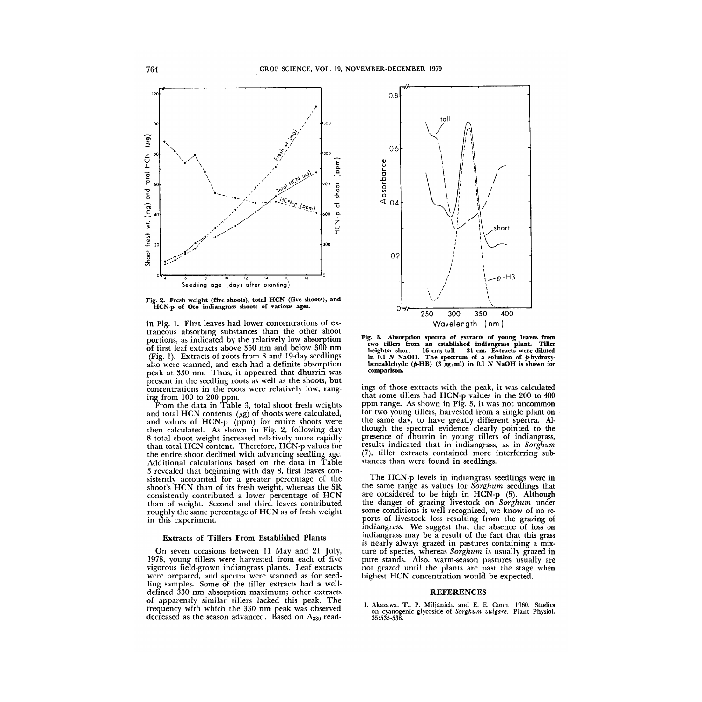

Fig. 2. Fresh weight (five shoots), total HCN (five shoots), and HCN-p of Oto indiangrass shoots of various ages.

in Fig. l. First leaves had lower concentrations of extraneous absorbing substances than the other shoot portions, as indicated by the relatively low absorption of first leaf extracts above 350 nm and below 300 nm (Fig. 1). Extracts of roots from 8 and 19-day seedlings also were scanned, and each had a definite absorption peak at 330 nm. Thus, it appeared that dhurrin was present in the seedling roots as well as the shoots, but concentrations in the roots were relatively low, ranging from 100 to 200 ppm.

From the data in Table 3, total shoot fresh weights and total HCN contents  $(\mu g)$  of shoots were calculated, and values of HCN-p (ppm) for entire shoots were then calculated. As shown in Fig. 2, following day 8 total shoot weight increased relatively more rapidly than total HCN content. Therefore, HCN-p values for the entire shoot declined with advancing seedling age. Additional calculations based on the data in Table 3 revealed that beginning with day 8, first leaves consistently accounted for a greater percentage of the shoot's HeN than of its fresh weight, whereas the SR consistently contributed a lower percentage of HCN than of weight. Second and third leaves contributed roughly the same percentage of HCN as of fresh weight in this experiment.

### Extracts of Tillers From Established Plants

On seven occasions between 11 May and 21 July, 1978, young tillers were harvested from each of five vigorous field-grown indiangrass plants. Leaf extracts were prepared, and spectra were scanned as for seedling samples. Some of the tiller extracts had a welldefined 330 nm absorption maximum; other extracts of apparently similar tillers lacked this peak. The frequency with which the 330 nm peak was observed decreased as the season advanced. Based on  $A_{330}$  read-



Fig. 3. Absorption spectra of extracts of young leaves from two tillers from an established indiangrass plant. Tiller heights: short — 16 cm; tall — 31 cm. Extracts were diluted<br>in 0.1 N NaOH. The spectrum of a solution of p-hydroxy. benzaldehyde ( $p$ -HB) (3  $\mu$ g/ml) in 0.1 N NaOH is shown for comparison.

ings of those extracts with the peak, it was calculated that some tillers had HCN-p values in the 200 to 400 ppm range. As shown in Fig. 3, it was not uncommon for two young tillers, harvested from a single plant on the same day, to have greatly different spectra. Although the spectral evidence clearly pointed to the presence of dhurrin in young tillers of indiangrass, results indicated that in indiangrass, as in *Sorghum*  (7), tiller extracts contained more interferring substances than were found in seedlings.

The HCN-p levels in indiangrass seedlings were in the same range as values for *Sorghum* seedlings that are considered to be high in HCN-p (5). Although the danger of grazing livestock on *Sorghum* under some conditions is well recognized, we know of no reports of livestock loss resulting from the grazing of indiangrass. We suggest that the absence of loss on indiangrass may be a result of the fact that this grass is nearly always grazed in pastures containing a mixture of species, whereas *Sorghum* is usually grazed in pure stands. Also, warm-season pastures usually are not grazed until the plants are past the stage when highest HCN concentration would be expected.

## REFERENCES

1. Akazawa, T., P. Miljanich, and E. E. Conn. 1960. Studies on cyanogenic glycoside of Sorghum vulgare. Plant Physiol. 35 :535-538.